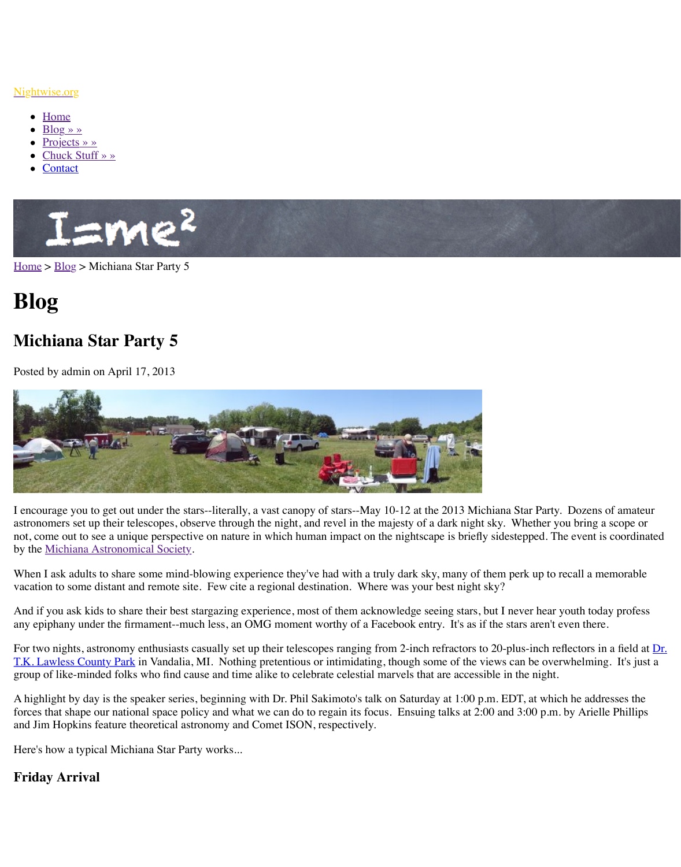# **Blog**

# **Michiana Star Party 5**

Posted by admin on April 17, 2013



I encourage you to get out under the stars--literally, a vast canopy of stars--May 10-12 at the astronomers set up their telescopes, observe through the night, and revel in the majesty of a d not, come out to see a unique perspective on nature in which human impact on the nightscape by the Michiana Astronomical Society.

[When](http://www.nightwise.org/) I [ask ad](http://www.nightwise.org/blog/)ults to share some mind-blowing experience they've had with a truly dark sky, vacation to some distant and remote site. Few cite a regional destination. Where was your b

And if you ask kids to share their best stargazing experience, most of them acknowledge seeing. any epiphany under the firmament--much less, an OMG moment worthy of a Facebook entry.

For two nights, astronomy enthusiasts casually set up their telescopes ranging from 2-inch re T.K. Lawless County Park in Vandalia, MI. Nothing pretentious or intimidating, though som group of like-minded folks who find cause and time alike to celebrate celestial marvels that a

A highlight by day is the speaker series, beginning with Dr. Phil Sakimoto's talk on Saturday forces that shape our national space policy and what we can do to regain its focus. Ensuing t and Jim Hopkins feature theoretical astronomy and Comet ISON, respectively.

Here's how a typical Michiana Star Party works...

# **Friday Arrival**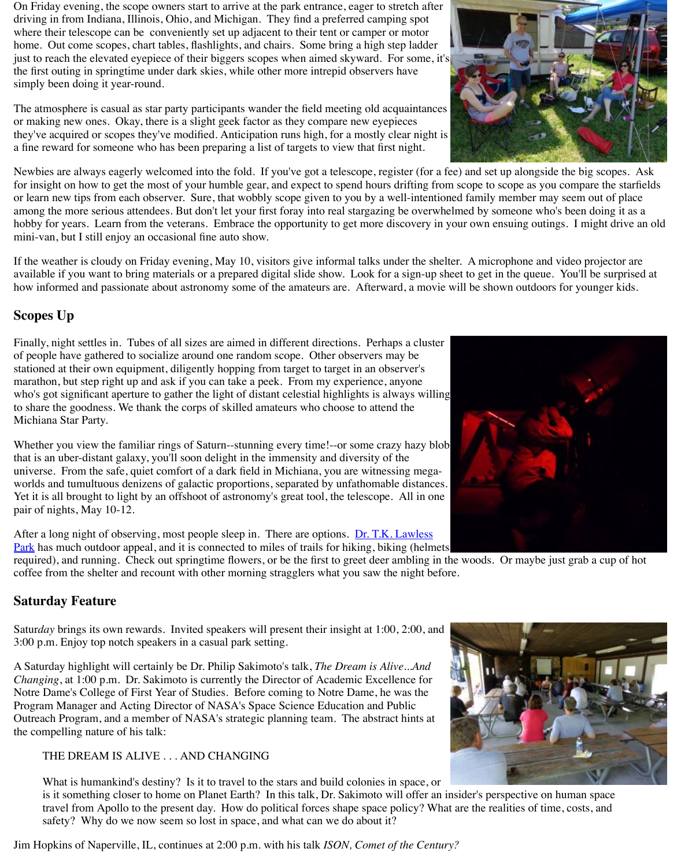## **Scopes Up**

Finally, night settles in. Tubes of all sizes are aimed in different directions. Perhaps a cluste of people have gathered to socialize around one random scope. Other observers may be stationed at their own equipment, diligently hopping from target to target in an observer's marathon, but step right up and ask if you can take a peek. From my experience, anyone who's got significant aperture to gather the light of distant celestial highlights is always willing to share the goodness. We thank the corps of skilled amateurs who choose to attend the Michiana Star Party.

Whether you view the familiar rings of Saturn--stunning every time!--or some crazy hazy blo that is an uber-distant galaxy, you'll soon delight in the immensity and diversity of the universe. From the safe, quiet comfort of a dark field in Michiana, you are witnessing megaworlds and tumultuous denizens of galactic proportions, separated by unfathomable distance Yet it is all brought to light by an offshoot of astronomy's great tool, the telescope. All in one pair of nights, May 10-12.

After a long night of observing, most people sleep in. There are options. <u>Dr. T.K. Lawless</u> Park has much outdoor appeal, and it is connected to miles of trails for hiking, biking (helme required), and running. Check out springtime flowers, or be the first to greet deer ambling in coffee from the shelter and recount with other morning stragglers what you saw the night before.

## **Saturday Feature**

Satur*day* brings its own rewards. Invited speakers will present their insight at 1:00, 2:00, and 3:00 p.m. Enjoy top notch speakers in a casual park setting.

A Saturday highlight will certainly be Dr. Philip Sakimoto's talk, *The Dream is Alive...And Changing*, at 1:00 p.m. Dr. Sakimoto is currently the Director of Academic Excellence for Notre Dame's College of First Year of Studies. Before coming to Notre Dame, he was the Program Manager and Acting Director of NASA's Space Science Education and Public Outreach Program, and a member of NASA's strategic planning team. The abstract hints at the compelling nature of his talk:

THE DREAM IS ALIVE . . . AND CHANGING

What is humankind's destiny? Is it to travel to the stars and build colonies in space, or is it something closer to home on Planet Earth? In this talk, Dr. Sakimoto will offer an travel from Apollo to the present day. How do political forces shape space policy? Wh safety? Why do we now seem so lost in space, and what can we do about it?

[Jim Hopkins of Naperville, IL, continues at 2:00 p.m. with his talk](http://www.casscountymi.org/CountyParks/DrTKLawlessPark.aspx) *ISON*, Comet of the Century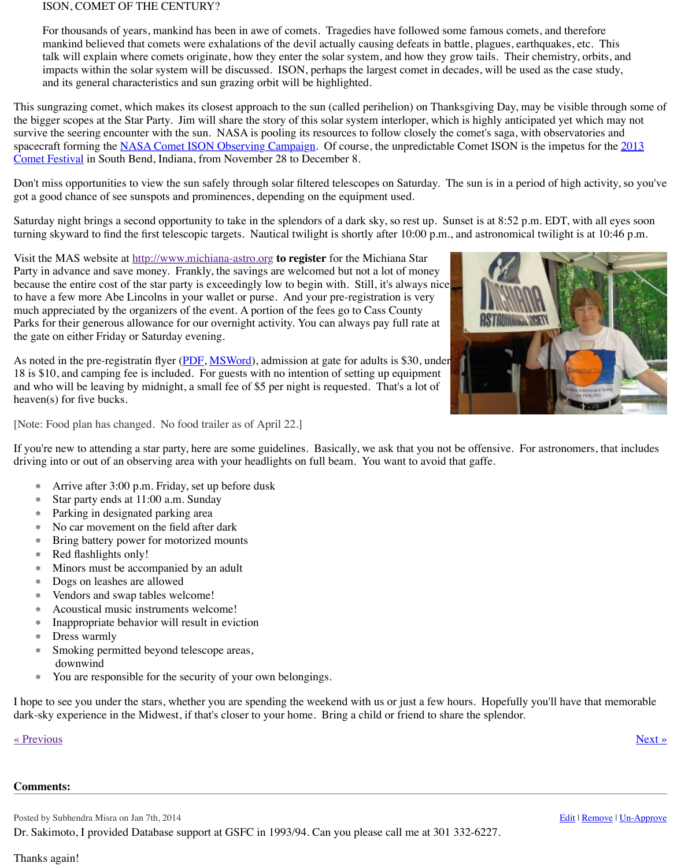to have a few more Abe Lincolns in your wallet or purse. And your pre-registration is very much appreciated by the organizers of the event. A portion of the fees go to Cass County Parks for their generous allowance for our overnight activity. You can always pay full rate at the gate on either Friday or Saturday evening.

As noted in the pre-registratin flyer (PDF, MSWord), admission at gate for adults is \$30, und 18 is \$10, and camping fee is included. For guests with no intention of setting up equipment and who will be leaving by midnight, a small fee of \$5 per night is requested. That's a lot of heaven(s) for five bucks.

[Note: Food plan has changed. No food trailer as of April 22.]

If you're new to attending a star party, here are some guidelines. Basically, we ask that you r driving into or out of an observing area with your headlights on full beam. You want to avoi

- ∗ Arrive after 3:00 p.m. Friday, set up before dusk
- ∗ Star party ends at 11:00 a.m. Sunday
- ∗ Parking in designated parking area
- ∗ No car movement on the field after dark
- ∗ Bring battery power for motorized mounts
- ∗ Red flashlights o[nly!](http://www.michiana-astro.org/)
- ∗ Minors must be accompanied by an adult
- ∗ Dogs on leashes are allowed
- ∗ Vendors and swap tables welcome!
- ∗ Acoustical music instruments welcome!
- ∗ Inappropriate behavior will result in eviction
- ∗ Dress warmly
- ∗ Smoking permitted beyond [telesc](http://www.michiana-astro.org/2013/MSP5-2013-flyer.pdf)[ope areas,](http://www.michiana-astro.org/2013/MSP5-2013-flyer.docx) downwind
- ∗ You are responsible for the security of your own belongings.

I hope to see you under the stars, whether you are spending the weekend with us or just a few dark-sky experience in the Midwest, if that's closer to your home. Bring a child or friend to s

#### « Previous » Next » Next » Next » Next » Next » Next » Next » Next » Next » Next » Next » Next » Next » Next » Next » Next » Next » Next » Next » Next » Next » Next » Next » Next » Next » Next » Next » Next » Next » Next »

#### **Comments:**

Posted by Subhendra Misra on Jan 7th, 2014

Dr. Sakimoto, I provided Database support at GSFC in 1993/94. Can you please call me at 30

#### Thanks again!